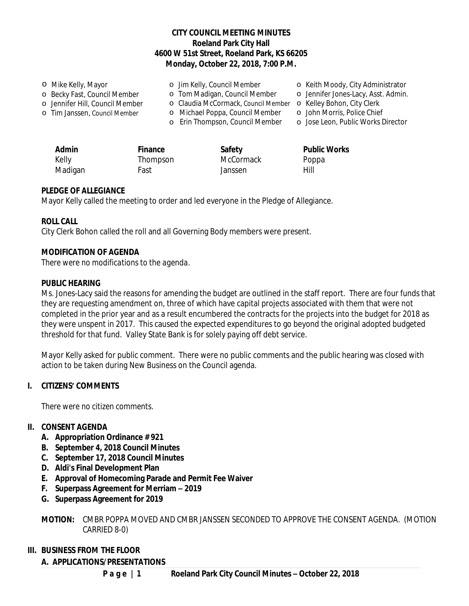#### **CITY COUNCIL MEETING MINUTES Roeland Park City Hall 4600 W 51st Street, Roeland Park, KS 66205 Monday, October 22, 2018, 7:00 P.M.**

o Mike Kelly, Mayor o Becky Fast, Council Member o Jennifer Hill, Council Member o Tim Janssen, Council Member o Jim Kelly, Council Member o Tom Madigan, Council Member o Claudia McCormack, Council Member o Kelley Bohon, City Clerk o Michael Poppa, Council Member o John Morris, Police Chief o Erin Thompson, Council Member o Jose Leon, Public Works Director o Keith Moody, City Administrator o Jennifer Jones-Lacy, Asst. Admin.

| <b>Admin</b> | Finance  | Safety    | <b>Public Works</b> |
|--------------|----------|-----------|---------------------|
| Kelly        | Thompson | McCormack | Poppa               |
| Madigan      | Fast     | Janssen   | Hill                |

#### **PLEDGE OF ALLEGIANCE**

Mayor Kelly called the meeting to order and led everyone in the Pledge of Allegiance.

#### **ROLL CALL**

City Clerk Bohon called the roll and all Governing Body members were present.

#### **MODIFICATION OF AGENDA**

*There were no modifications to the agenda.*

#### **PUBLIC HEARING**

Ms. Jones-Lacy said the reasons for amending the budget are outlined in the staff report. There are four funds that they are requesting amendment on, three of which have capital projects associated with them that were not completed in the prior year and as a result encumbered the contracts for the projects into the budget for 2018 as they were unspent in 2017. This caused the expected expenditures to go beyond the original adopted budgeted threshold for that fund. Valley State Bank is for solely paying off debt service.

Mayor Kelly asked for public comment. There were no public comments and the public hearing was closed with action to be taken during New Business on the Council agenda.

#### **I. CITIZENS' COMMENTS**

*There were no citizen comments.*

#### **II. CONSENT AGENDA**

- **A. Appropriation Ordinance # 921**
- **B. September 4, 2018 Council Minutes**
- **C. September 17, 2018 Council Minutes**
- **D. Aldi's Final Development Plan**
- **E. Approval of Homecoming Parade and Permit Fee Waiver**
- **F. Superpass Agreement for Merriam – 2019**
- **G. Superpass Agreement for 2019**

**MOTION:** CMBR POPPA MOVED AND CMBR JANSSEN SECONDED TO APPROVE THE CONSENT AGENDA. (MOTION CARRIED 8-0)

#### **III. BUSINESS FROM THE FLOOR**

#### **A. APPLICATIONS/PRESENTATIONS**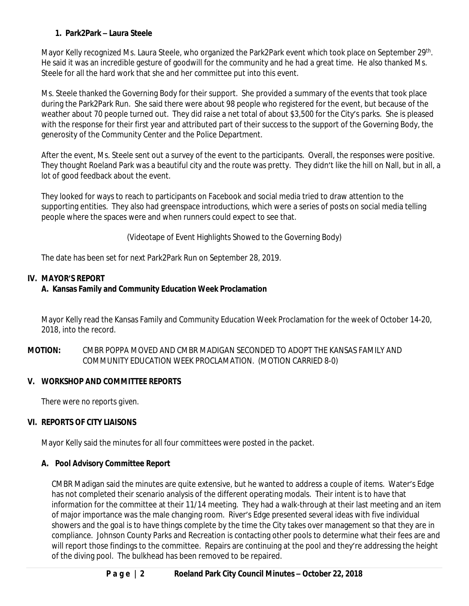# **1. Park2Park – Laura Steele**

Mayor Kelly recognized Ms. Laura Steele, who organized the Park2Park event which took place on September 29<sup>th</sup>. He said it was an incredible gesture of goodwill for the community and he had a great time. He also thanked Ms. Steele for all the hard work that she and her committee put into this event.

Ms. Steele thanked the Governing Body for their support. She provided a summary of the events that took place during the Park2Park Run. She said there were about 98 people who registered for the event, but because of the weather about 70 people turned out. They did raise a net total of about \$3,500 for the City's parks. She is pleased with the response for their first year and attributed part of their success to the support of the Governing Body, the generosity of the Community Center and the Police Department.

After the event, Ms. Steele sent out a survey of the event to the participants. Overall, the responses were positive. They thought Roeland Park was a beautiful city and the route was pretty. They didn't like the hill on Nall, but in all, a lot of good feedback about the event.

They looked for ways to reach to participants on Facebook and social media tried to draw attention to the supporting entities. They also had greenspace introductions, which were a series of posts on social media telling people where the spaces were and when runners could expect to see that.

(Videotape of Event Highlights Showed to the Governing Body)

The date has been set for next Park2Park Run on September 28, 2019.

# **IV. MAYOR'S REPORT**

# **A. Kansas Family and Community Education Week Proclamation**

Mayor Kelly read the Kansas Family and Community Education Week Proclamation for the week of October 14-20, 2018, into the record.

**MOTION:** CMBR POPPA MOVED AND CMBR MADIGAN SECONDED TO ADOPT THE KANSAS FAMILY AND COMMUNITY EDUCATION WEEK PROCLAMATION. (MOTION CARRIED 8-0)

### **V. WORKSHOP AND COMMITTEE REPORTS**

*There were no reports given.*

# **VI. REPORTS OF CITY LIAISONS**

Mayor Kelly said the minutes for all four committees were posted in the packet.

### **A. Pool Advisory Committee Report**

CMBR Madigan said the minutes are quite extensive, but he wanted to address a couple of items. Water's Edge has not completed their scenario analysis of the different operating modals. Their intent is to have that information for the committee at their 11/14 meeting. They had a walk-through at their last meeting and an item of major importance was the male changing room. River's Edge presented several ideas with five individual showers and the goal is to have things complete by the time the City takes over management so that they are in compliance. Johnson County Parks and Recreation is contacting other pools to determine what their fees are and will report those findings to the committee. Repairs are continuing at the pool and they're addressing the height of the diving pool. The bulkhead has been removed to be repaired.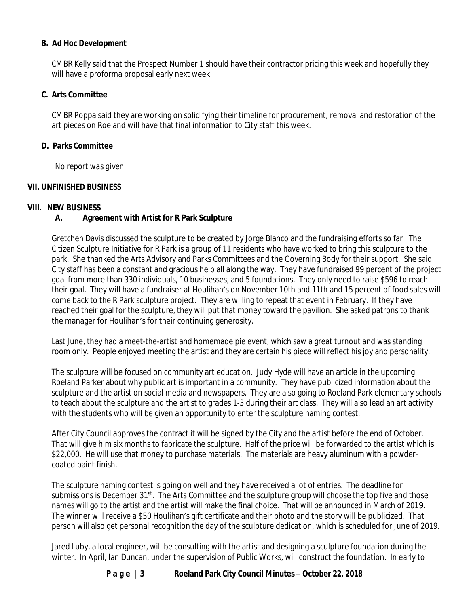## **B. Ad Hoc Development**

CMBR Kelly said that the Prospect Number 1 should have their contractor pricing this week and hopefully they will have a proforma proposal early next week.

### **C. Arts Committee**

CMBR Poppa said they are working on solidifying their timeline for procurement, removal and restoration of the art pieces on Roe and will have that final information to City staff this week.

#### **D. Parks Committee**

*No report was given.*

#### **VII. UNFINISHED BUSINESS**

#### **VIII. NEW BUSINESS**

# **A. Agreement with Artist for R Park Sculpture**

Gretchen Davis discussed the sculpture to be created by Jorge Blanco and the fundraising efforts so far. The Citizen Sculpture Initiative for R Park is a group of 11 residents who have worked to bring this sculpture to the park. She thanked the Arts Advisory and Parks Committees and the Governing Body for their support. She said City staff has been a constant and gracious help all along the way. They have fundraised 99 percent of the project goal from more than 330 individuals, 10 businesses, and 5 foundations. They only need to raise \$596 to reach their goal. They will have a fundraiser at Houlihan's on November 10th and 11th and 15 percent of food sales will come back to the R Park sculpture project. They are willing to repeat that event in February. If they have reached their goal for the sculpture, they will put that money toward the pavilion. She asked patrons to thank the manager for Houlihan's for their continuing generosity.

Last June, they had a meet-the-artist and homemade pie event, which saw a great turnout and was standing room only. People enjoyed meeting the artist and they are certain his piece will reflect his joy and personality.

The sculpture will be focused on community art education. Judy Hyde will have an article in the upcoming Roeland Parker about why public art is important in a community. They have publicized information about the sculpture and the artist on social media and newspapers. They are also going to Roeland Park elementary schools to teach about the sculpture and the artist to grades 1-3 during their art class. They will also lead an art activity with the students who will be given an opportunity to enter the sculpture naming contest.

After City Council approves the contract it will be signed by the City and the artist before the end of October. That will give him six months to fabricate the sculpture. Half of the price will be forwarded to the artist which is \$22,000. He will use that money to purchase materials. The materials are heavy aluminum with a powdercoated paint finish.

The sculpture naming contest is going on well and they have received a lot of entries. The deadline for submissions is December 31<sup>st</sup>. The Arts Committee and the sculpture group will choose the top five and those names will go to the artist and the artist will make the final choice. That will be announced in March of 2019. The winner will receive a \$50 Houlihan's gift certificate and their photo and the story will be publicized. That person will also get personal recognition the day of the sculpture dedication, which is scheduled for June of 2019.

Jared Luby, a local engineer, will be consulting with the artist and designing a sculpture foundation during the winter. In April, Ian Duncan, under the supervision of Public Works, will construct the foundation. In early to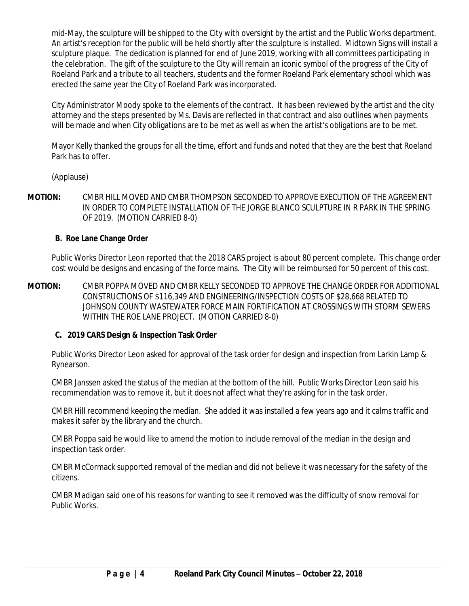mid-May, the sculpture will be shipped to the City with oversight by the artist and the Public Works department. An artist's reception for the public will be held shortly after the sculpture is installed. Midtown Signs will install a sculpture plaque. The dedication is planned for end of June 2019, working with all committees participating in the celebration. The gift of the sculpture to the City will remain an iconic symbol of the progress of the City of Roeland Park and a tribute to all teachers, students and the former Roeland Park elementary school which was erected the same year the City of Roeland Park was incorporated.

City Administrator Moody spoke to the elements of the contract. It has been reviewed by the artist and the city attorney and the steps presented by Ms. Davis are reflected in that contract and also outlines when payments will be made and when City obligations are to be met as well as when the artist's obligations are to be met.

Mayor Kelly thanked the groups for all the time, effort and funds and noted that they are the best that Roeland Park has to offer.

(Applause)

**MOTION:** CMBR HILL MOVED AND CMBR THOMPSON SECONDED TO APPROVE EXECUTION OF THE AGREEMENT IN ORDER TO COMPLETE INSTALLATION OF THE JORGE BLANCO SCULPTURE IN R PARK IN THE SPRING OF 2019. (MOTION CARRIED 8-0)

### **B. Roe Lane Change Order**

Public Works Director Leon reported that the 2018 CARS project is about 80 percent complete. This change order cost would be designs and encasing of the force mains. The City will be reimbursed for 50 percent of this cost.

**MOTION:** CMBR POPPA MOVED AND CMBR KELLY SECONDED TO APPROVE THE CHANGE ORDER FOR ADDITIONAL CONSTRUCTIONS OF \$116,349 AND ENGINEERING/INSPECTION COSTS OF \$28,668 RELATED TO JOHNSON COUNTY WASTEWATER FORCE MAIN FORTIFICATION AT CROSSINGS WITH STORM SEWERS WITHIN THE ROE LANE PROJECT. (MOTION CARRIED 8-0)

# **C. 2019 CARS Design & Inspection Task Order**

Public Works Director Leon asked for approval of the task order for design and inspection from Larkin Lamp & Rynearson.

CMBR Janssen asked the status of the median at the bottom of the hill. Public Works Director Leon said his recommendation was to remove it, but it does not affect what they're asking for in the task order.

CMBR Hill recommend keeping the median. She added it was installed a few years ago and it calms traffic and makes it safer by the library and the church.

CMBR Poppa said he would like to amend the motion to include removal of the median in the design and inspection task order.

CMBR McCormack supported removal of the median and did not believe it was necessary for the safety of the citizens.

CMBR Madigan said one of his reasons for wanting to see it removed was the difficulty of snow removal for Public Works.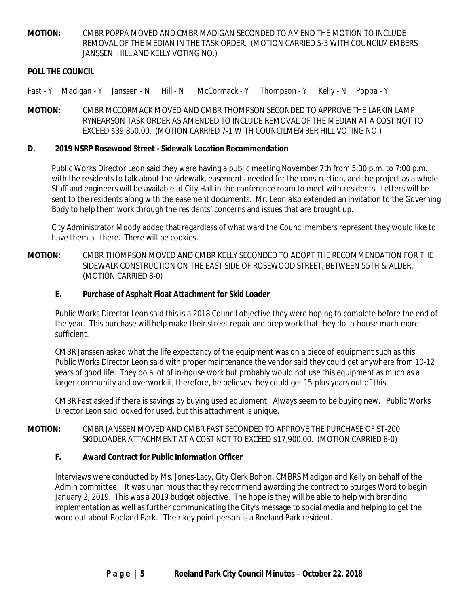**MOTION:** CMBR POPPA MOVED AND CMBR MADIGAN SECONDED TO AMEND THE MOTION TO INCLUDE REMOVAL OF THE MEDIAN IN THE TASK ORDER. (MOTION CARRIED 5-3 WITH COUNCILMEMBERS JANSSEN, HILL AND KELLY VOTING NO.)

#### **POLL THE COUNCIL**

- Fast Y Madigan Y Janssen N Hill N McCormack Y Thompson Y Kelly N Poppa Y
- **MOTION:** CMBR MCCORMACK MOVED AND CMBR THOMPSON SECONDED TO APPROVE THE LARKIN LAMP RYNEARSON TASK ORDER AS AMENDED TO INCLUDE REMOVAL OF THE MEDIAN AT A COST NOT TO EXCEED \$39,850.00. (MOTION CARRIED 7-1 WITH COUNCILMEMBER HILL VOTING NO.)

#### **D. 2019 NSRP Rosewood Street - Sidewalk Location Recommendation**

Public Works Director Leon said they were having a public meeting November 7th from 5:30 p.m. to 7:00 p.m. with the residents to talk about the sidewalk, easements needed for the construction, and the project as a whole. Staff and engineers will be available at City Hall in the conference room to meet with residents. Letters will be sent to the residents along with the easement documents. Mr. Leon also extended an invitation to the Governing Body to help them work through the residents' concerns and issues that are brought up.

City Administrator Moody added that regardless of what ward the Councilmembers represent they would like to have them all there. There will be cookies

**MOTION:** CMBR THOMPSON MOVED AND CMBR KELLY SECONDED TO ADOPT THE RECOMMENDATION FOR THE SIDEWALK CONSTRUCTION ON THE EAST SIDE OF ROSEWOOD STREET, BETWEEN 55TH & ALDER. (MOTION CARRIED 8-0)

#### **E. Purchase of Asphalt Float Attachment for Skid Loader**

Public Works Director Leon said this is a 2018 Council objective they were hoping to complete before the end of the year. This purchase will help make their street repair and prep work that they do in-house much more sufficient.

CMBR Janssen asked what the life expectancy of the equipment was on a piece of equipment such as this. Public Works Director Leon said with proper maintenance the vendor said they could get anywhere from 10-12 years of good life. They do a lot of in-house work but probably would not use this equipment as much as a larger community and overwork it, therefore, he believes they could get 15-plus years out of this.

CMBR Fast asked if there is savings by buying used equipment. Always seem to be buying new. Public Works Director Leon said looked for used, but this attachment is unique.

#### **MOTION:** CMBR JANSSEN MOVED AND CMBR FAST SECONDED TO APPROVE THE PURCHASE OF ST-200 SKIDLOADER ATTACHMENT AT A COST NOT TO EXCEED \$17,900.00. (MOTION CARRIED 8-0)

### **F. Award Contract for Public Information Officer**

Interviews were conducted by Ms. Jones-Lacy, City Clerk Bohon, CMBRS Madigan and Kelly on behalf of the Admin committee. It was unanimous that they recommend awarding the contract to Sturges Word to begin January 2, 2019. This was a 2019 budget objective. The hope is they will be able to help with branding implementation as well as further communicating the City's message to social media and helping to get the word out about Roeland Park. Their key point person is a Roeland Park resident.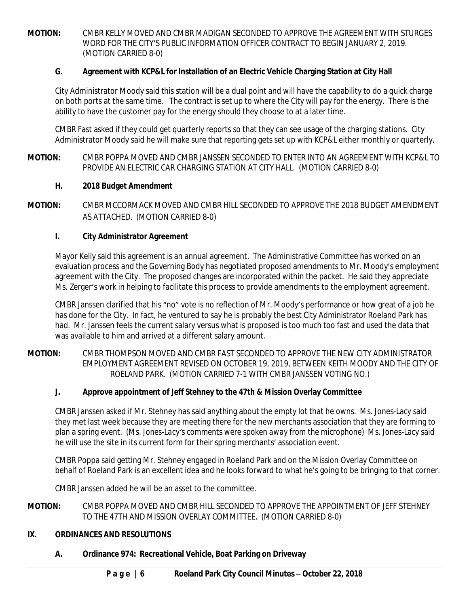**MOTION:** CMBR KELLY MOVED AND CMBR MADIGAN SECONDED TO APPROVE THE AGREEMENT WITH STURGES WORD FOR THE CITY'S PUBLIC INFORMATION OFFICER CONTRACT TO BEGIN JANUARY 2, 2019. (MOTION CARRIED 8-0)

## **G. Agreement with KCP&L for Installation of an Electric Vehicle Charging Station at City Hall**

City Administrator Moody said this station will be a dual point and will have the capability to do a quick charge on both ports at the same time. The contract is set up to where the City will pay for the energy. There is the ability to have the customer pay for the energy should they choose to at a later time.

CMBR Fast asked if they could get quarterly reports so that they can see usage of the charging stations. City Administrator Moody said he will make sure that reporting gets set up with KCP&L either monthly or quarterly.

**MOTION:** CMBR POPPA MOVED AND CMBR JANSSEN SECONDED TO ENTER INTO AN AGREEMENT WITH KCP&L TO PROVIDE AN ELECTRIC CAR CHARGING STATION AT CITY HALL. (MOTION CARRIED 8-0)

### **H. 2018 Budget Amendment**

**MOTION:** CMBR MCCORMACK MOVED AND CMBR HILL SECONDED TO APPROVE THE 2018 BUDGET AMENDMENT AS ATTACHED. (MOTION CARRIED 8-0)

# **I. City Administrator Agreement**

Mayor Kelly said this agreement is an annual agreement. The Administrative Committee has worked on an evaluation process and the Governing Body has negotiated proposed amendments to Mr. Moody's employment agreement with the City. The proposed changes are incorporated within the packet. He said they appreciate Ms. Zerger's work in helping to facilitate this process to provide amendments to the employment agreement.

CMBR Janssen clarified that his "no" vote is no reflection of Mr. Moody's performance or how great of a job he has done for the City. In fact, he ventured to say he is probably the best City Administrator Roeland Park has had. Mr. Janssen feels the current salary versus what is proposed is too much too fast and used the data that was available to him and arrived at a different salary amount.

**MOTION:** CMBR THOMPSON MOVED AND CMBR FAST SECONDED TO APPROVE THE NEW CITY ADMINISTRATOR EMPLOYMENT AGREEMENT REVISED ON OCTOBER 19, 2019, BETWEEN KEITH MOODY AND THE CITY OF ROELAND PARK. (MOTION CARRIED 7-1 WITH CMBR JANSSEN VOTING NO.)

### **J. Approve appointment of Jeff Stehney to the 47th & Mission Overlay Committee**

CMBR Janssen asked if Mr. Stehney has said anything about the empty lot that he owns. Ms. Jones-Lacy said they met last week because they are meeting there for the new merchants association that they are forming to plan a spring event. (*Ms. Jones-Lacy's comments were spoken away from the microphone*) Ms. Jones-Lacy said he will use the site in its current form for their spring merchants' association event.

CMBR Poppa said getting Mr. Stehney engaged in Roeland Park and on the Mission Overlay Committee on behalf of Roeland Park is an excellent idea and he looks forward to what he's going to be bringing to that corner.

CMBR Janssen added he will be an asset to the committee.

**MOTION:** CMBR POPPA MOVED AND CMBR HILL SECONDED TO APPROVE THE APPOINTMENT OF JEFF STEHNEY TO THE 47TH AND MISSION OVERLAY COMMITTEE. (MOTION CARRIED 8-0)

### **IX. ORDINANCES AND RESOLUTIONS**

**A. Ordinance 974: Recreational Vehicle, Boat Parking on Driveway**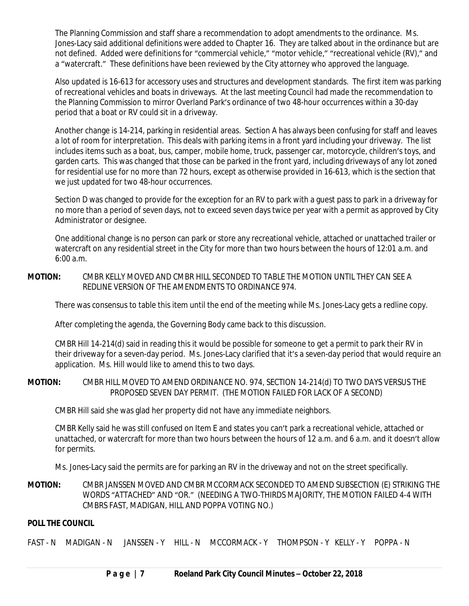The Planning Commission and staff share a recommendation to adopt amendments to the ordinance. Ms. Jones-Lacy said additional definitions were added to Chapter 16. They are talked about in the ordinance but are not defined. Added were definitions for "commercial vehicle," "motor vehicle," "recreational vehicle (RV)," and a "watercraft." These definitions have been reviewed by the City attorney who approved the language.

Also updated is 16-613 for accessory uses and structures and development standards. The first item was parking of recreational vehicles and boats in driveways. At the last meeting Council had made the recommendation to the Planning Commission to mirror Overland Park's ordinance of two 48-hour occurrences within a 30-day period that a boat or RV could sit in a driveway.

Another change is 14-214, parking in residential areas. Section A has always been confusing for staff and leaves a lot of room for interpretation. This deals with parking items in a front yard including your driveway. The list includes items such as a boat, bus, camper, mobile home, truck, passenger car, motorcycle, children's toys, and garden carts. This was changed that those can be parked in the front yard, including driveways of any lot zoned for residential use for no more than 72 hours, except as otherwise provided in 16-613, which is the section that we just updated for two 48-hour occurrences.

Section D was changed to provide for the exception for an RV to park with a guest pass to park in a driveway for no more than a period of seven days, not to exceed seven days twice per year with a permit as approved by City Administrator or designee.

One additional change is no person can park or store any recreational vehicle, attached or unattached trailer or watercraft on any residential street in the City for more than two hours between the hours of 12:01 a.m. and 6:00 a.m.

**MOTION:** CMBR KELLY MOVED AND CMBR HILL SECONDED TO TABLE THE MOTION UNTIL THEY CAN SEE A REDLINE VERSION OF THE AMENDMENTS TO ORDINANCE 974.

There was consensus to table this item until the end of the meeting while Ms. Jones-Lacy gets a redline copy.

After completing the agenda, the Governing Body came back to this discussion.

CMBR Hill 14-214(d) said in reading this it would be possible for someone to get a permit to park their RV in their driveway for a seven-day period. Ms. Jones-Lacy clarified that it's a seven-day period that would require an application. Ms. Hill would like to amend this to two days.

**MOTION:** CMBR HILL MOVED TO AMEND ORDINANCE NO. 974, SECTION 14-214(d) TO TWO DAYS VERSUS THE PROPOSED SEVEN DAY PERMIT. (THE MOTION FAILED FOR LACK OF A SECOND)

CMBR Hill said she was glad her property did not have any immediate neighbors.

CMBR Kelly said he was still confused on Item E and states you can't park a recreational vehicle, attached or unattached, or watercraft for more than two hours between the hours of 12 a.m. and 6 a.m. and it doesn't allow for permits.

Ms. Jones-Lacy said the permits are for parking an RV in the driveway and not on the street specifically.

**MOTION:** CMBR JANSSEN MOVED AND CMBR MCCORMACK SECONDED TO AMEND SUBSECTION (E) STRIKING THE WORDS "ATTACHED" AND "OR." (NEEDING A TWO-THIRDS MAJORITY, THE MOTION FAILED 4-4 WITH CMBRS FAST, MADIGAN, HILL AND POPPA VOTING NO.)

### **POLL THE COUNCIL**

FAST - N MADIGAN - N JANSSEN - Y HILL - N MCCORMACK - Y THOMPSON - Y KELLY - Y POPPA - N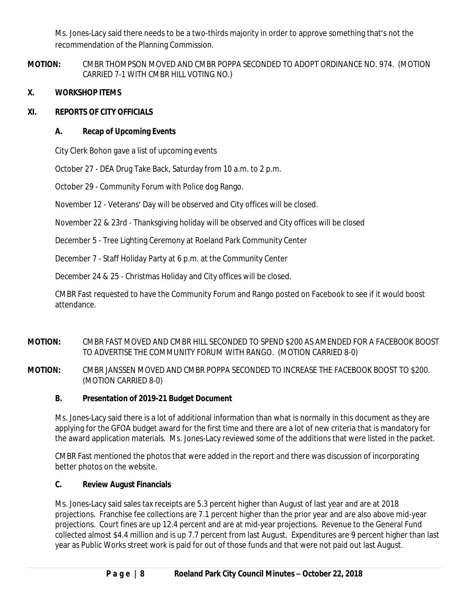Ms. Jones-Lacy said there needs to be a two-thirds majority in order to approve something that's not the recommendation of the Planning Commission.

**MOTION:** CMBR THOMPSON MOVED AND CMBR POPPA SECONDED TO ADOPT ORDINANCE NO. 974. (MOTION CARRIED 7-1 WITH CMBR HILL VOTING NO.)

# **X. WORKSHOP ITEMS**

## **XI. REPORTS OF CITY OFFICIALS**

# **A. Recap of Upcoming Events**

City Clerk Bohon gave a list of upcoming events

October 27 - DEA Drug Take Back, Saturday from 10 a.m. to 2 p.m.

October 29 - Community Forum with Police dog Rango.

November 12 - Veterans' Day will be observed and City offices will be closed.

November 22 & 23rd - Thanksgiving holiday will be observed and City offices will be closed

December 5 - Tree Lighting Ceremony at Roeland Park Community Center

December 7 - Staff Holiday Party at 6 p.m. at the Community Center

December 24 & 25 - Christmas Holiday and City offices will be closed.

CMBR Fast requested to have the Community Forum and Rango posted on Facebook to see if it would boost attendance.

# **MOTION:** CMBR FAST MOVED AND CMBR HILL SECONDED TO SPEND \$200 AS AMENDED FOR A FACEBOOK BOOST TO ADVERTISE THE COMMUNITY FORUM WITH RANGO. (MOTION CARRIED 8-0)

**MOTION:** CMBR JANSSEN MOVED AND CMBR POPPA SECONDED TO INCREASE THE FACEBOOK BOOST TO \$200. (MOTION CARRIED 8-0)

# **B. Presentation of 2019-21 Budget Document**

Ms. Jones-Lacy said there is a lot of additional information than what is normally in this document as they are applying for the GFOA budget award for the first time and there are a lot of new criteria that is mandatory for the award application materials. Ms. Jones-Lacy reviewed some of the additions that were listed in the packet.

CMBR Fast mentioned the photos that were added in the report and there was discussion of incorporating better photos on the website.

### **C. Review August Financials**

Ms. Jones-Lacy said sales tax receipts are 5.3 percent higher than August of last year and are at 2018 projections. Franchise fee collections are 7.1 percent higher than the prior year and are also above mid-year projections. Court fines are up 12.4 percent and are at mid-year projections. Revenue to the General Fund collected almost \$4.4 million and is up 7.7 percent from last August. Expenditures are 9 percent higher than last year as Public Works street work is paid for out of those funds and that were not paid out last August.